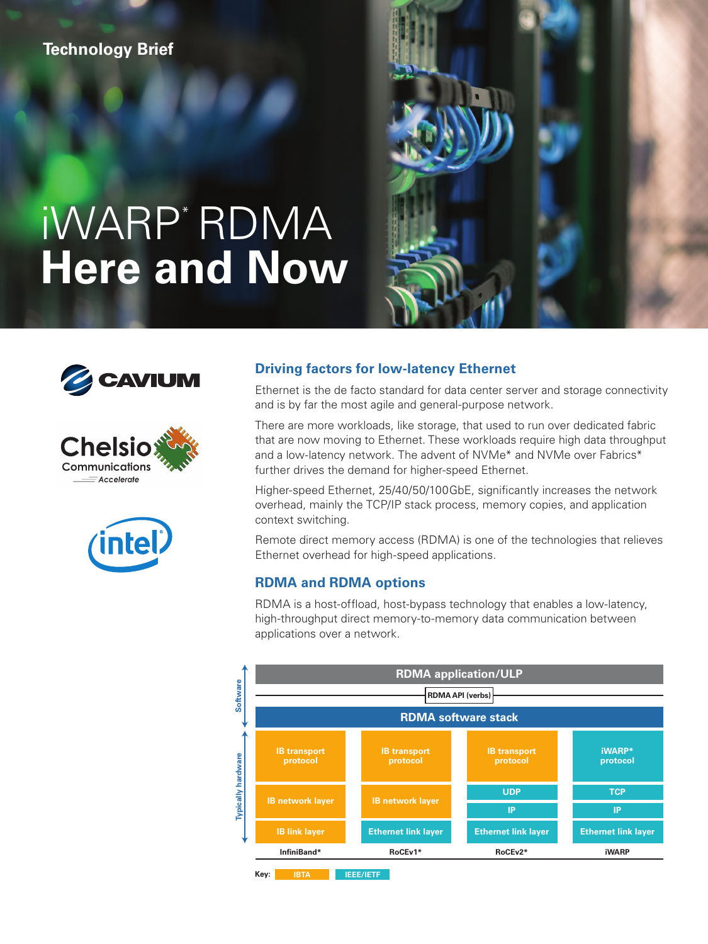## **Technology Brief**

# iWARP\* RDMA **Here and Now**









## **Driving factors for low-latency Ethernet**

Ethernet is the de facto standard for data center server and storage connectivity and is by far the most agile and general-purpose network.

There are more workloads, like storage, that used to run over dedicated fabric that are now moving to Ethernet. These workloads require high data throughput and a low-latency network. The advent of NVMe<sup>\*</sup> and NVMe over Fabrics<sup>\*</sup> further drives the demand for higher-speed Ethernet.

Higher-speed Ethernet, 25/40/50/100GbE, significantly increases the network overhead, mainly the TCP/IP stack process, memory copies, and application context switching.

Remote direct memory access (RDMA) is one of the technologies that relieves Ethernet overhead for high-speed applications.

## **RDMA and RDMA options**

RDMA is a host-offload, host-bypass technology that enables a low-latency, high-throughput direct memory-to-memory data communication between applications over a network.

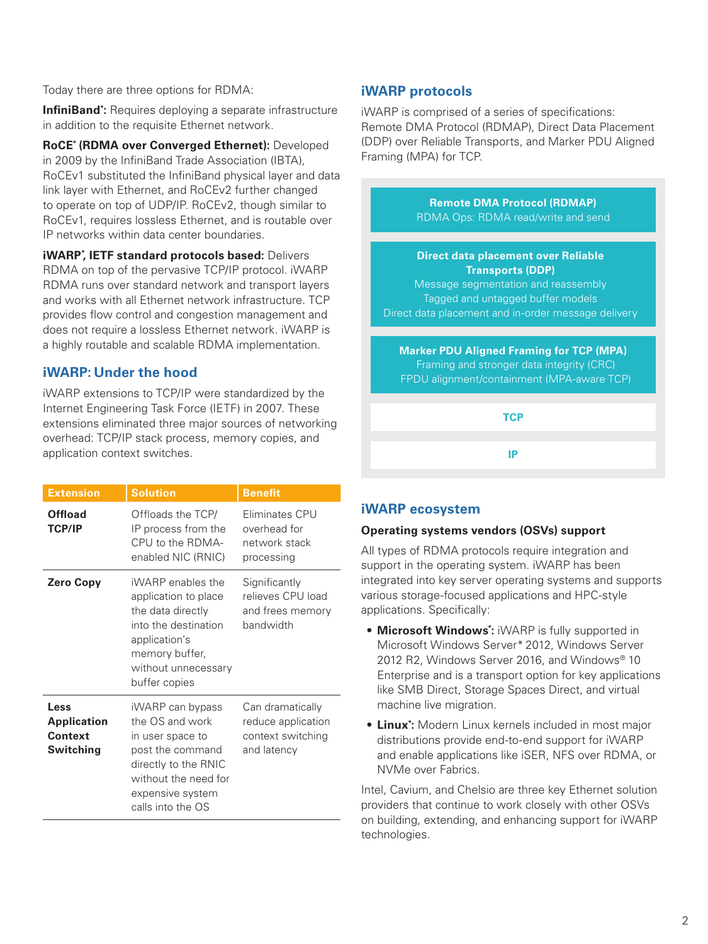Today there are three options for RDMA:

**InfiniBand\*:** Requires deploying a separate infrastructure in addition to the requisite Ethernet network.

**RoCE\* (RDMA over Converged Ethernet):** Developed in 2009 by the InfiniBand Trade Association (IBTA), RoCEv1 substituted the InfiniBand physical layer and data link layer with Ethernet, and RoCEv2 further changed to operate on top of UDP/IP. RoCEv2, though similar to RoCEv1, requires lossless Ethernet, and is routable over IP networks within data center boundaries.

**iWARP\* , IETF standard protocols based:** Delivers RDMA on top of the pervasive TCP/IP protocol. iWARP RDMA runs over standard network and transport layers and works with all Ethernet network infrastructure. TCP provides flow control and congestion management and does not require a lossless Ethernet network. iWARP is a highly routable and scalable RDMA implementation.

## **iWARP: Under the hood**

iWARP extensions to TCP/IP were standardized by the Internet Engineering Task Force (IETF) in 2007. These extensions eliminated three major sources of networking overhead: TCP/IP stack process, memory copies, and application context switches.

| <b>Extension</b>                                   | <b>Solution</b>                                                                                                                                                      | <b>Benefit</b>                                                             |
|----------------------------------------------------|----------------------------------------------------------------------------------------------------------------------------------------------------------------------|----------------------------------------------------------------------------|
| Offload<br><b>TCP/IP</b>                           | Offloads the TCP/<br>IP process from the<br>CPU to the RDMA-<br>enabled NIC (RNIC)                                                                                   | Fliminates CPU<br>overhead for<br>network stack<br>processing              |
| <b>Zero Copy</b>                                   | iWARP enables the<br>application to place<br>the data directly<br>into the destination<br>application's<br>memory buffer,<br>without unnecessary<br>buffer copies    | Significantly<br>relieves CPU load<br>and frees memory<br>handwidth        |
| Less<br><b>Application</b><br>Context<br>Switching | iWARP can bypass<br>the OS and work<br>in user space to<br>post the command<br>directly to the RNIC<br>without the need for<br>expensive system<br>calls into the OS | Can dramatically<br>reduce application<br>context switching<br>and latency |

## **iWARP protocols**

iWARP is comprised of a series of specifications: Remote DMA Protocol (RDMAP), Direct Data Placement (DDP) over Reliable Transports, and Marker PDU Aligned Framing (MPA) for TCP.

**Remote DMA Protocol (RDMAP)** RDMA Ops: RDMA read/write and send **Direct data placement over Reliable Transports (DDP)** Message segmentation and reassembly Tagged and untagged buffer models Direct data placement and in-order message delivery **Marker PDU Aligned Framing for TCP (MPA)**

Framing and stronger data integrity (CRC) FPDU alignment/containment (MPA-aware TCP)

**TCP**

**IP**

**iWARP ecosystem** 

### **Operating systems vendors (OSVs) support**

All types of RDMA protocols require integration and support in the operating system. iWARP has been integrated into key server operating systems and supports various storage-focused applications and HPC-style applications. Specifically:

- **Microsoft Windows\* :** iWARP is fully supported in Microsoft Windows Server\* 2012, Windows Server 2012 R2, Windows Server 2016, and Windows® 10 Enterprise and is a transport option for key applications like SMB Direct, Storage Spaces Direct, and virtual machine live migration.
- **Linux\* :** Modern Linux kernels included in most major distributions provide end-to-end support for iWARP and enable applications like iSER, NFS over RDMA, or NVMe over Fabrics.

Intel, Cavium, and Chelsio are three key Ethernet solution providers that continue to work closely with other OSVs on building, extending, and enhancing support for iWARP technologies.